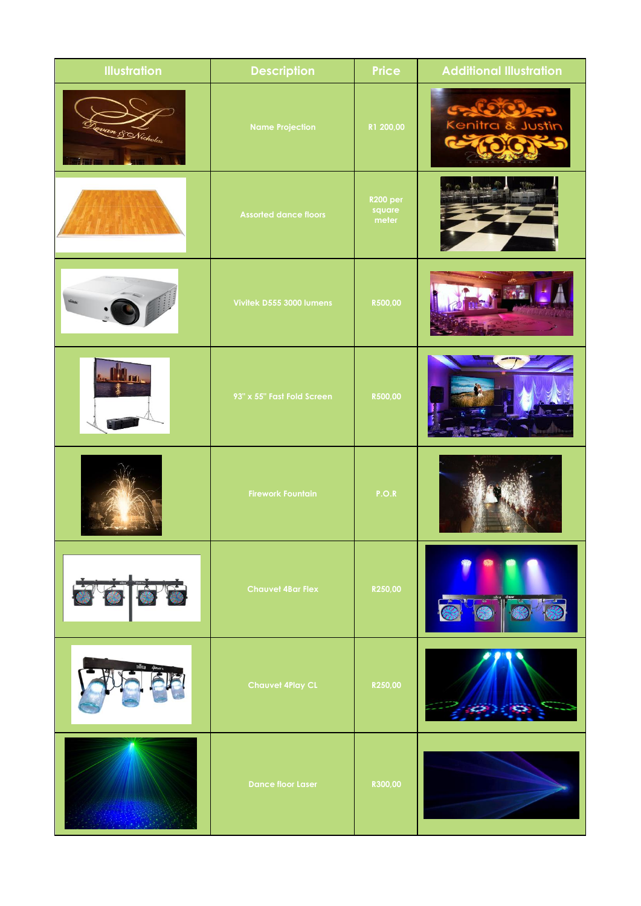| <b>Illustration</b> | <b>Description</b>           | Price                              | <b>Additional Illustration</b> |
|---------------------|------------------------------|------------------------------------|--------------------------------|
| · SNicholas         | <b>Name Projection</b>       | R1 200,00                          | Kenitra & Justin               |
|                     | <b>Assorted dance floors</b> | <b>R200 per</b><br>square<br>meter |                                |
|                     | Vivitek D555 3000 lumens     | R500,00                            |                                |
|                     | 93" x 55" Fast Fold Screen   | R500,00                            |                                |
|                     | <b>Firework Fountain</b>     | P.O.R                              |                                |
| 5666                | <b>Chauvet 4Bar Flex</b>     | R250,00                            | O                              |
|                     | <b>Chauvet 4Play CL</b>      | R250,00                            |                                |
|                     | <b>Dance floor Laser</b>     | R300,00                            |                                |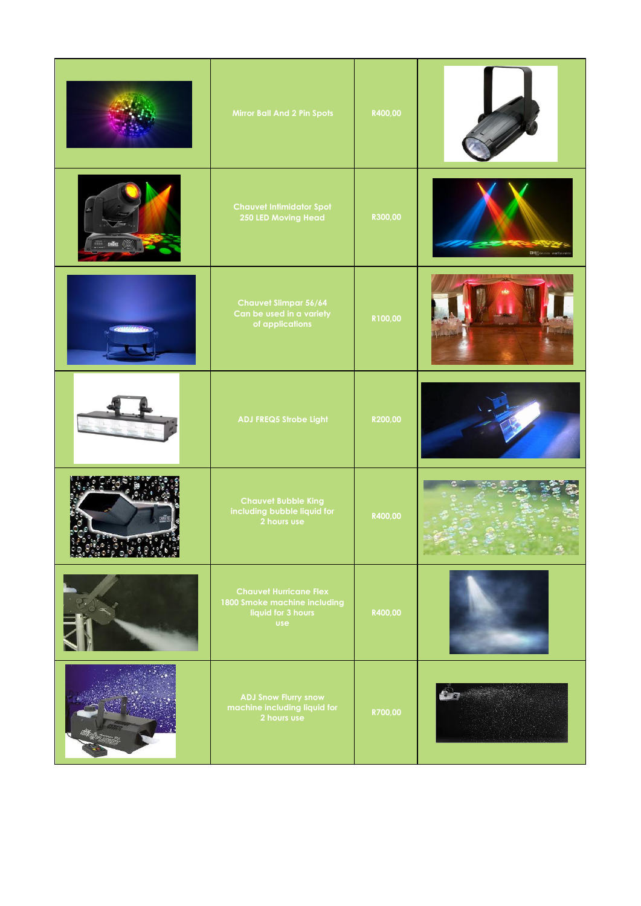|      | Mirror Ball And 2 Pin Spots                                                                       | R400,00 |                 |
|------|---------------------------------------------------------------------------------------------------|---------|-----------------|
|      | <b>Chauvet Intimidator Spot</b><br>250 LED Moving Head                                            | R300,00 | DH <sub>S</sub> |
|      | <b>Chauvet Slimpar 56/64</b><br>Can be used in a variety<br>of applications                       | R100,00 |                 |
|      | ADJ FREQ5 Strobe Light                                                                            | R200,00 |                 |
| 0.57 | <b>Chauvet Bubble King</b><br>including bubble liquid for<br>2 hours use                          | R400,00 |                 |
|      | <b>Chauvet Hurricane Flex</b><br>1800 Smoke machine including<br>liquid for 3 hours<br><b>use</b> | R400,00 |                 |
|      | <b>ADJ Snow Flurry snow</b><br>machine including liquid for<br>2 hours use                        | R700,00 |                 |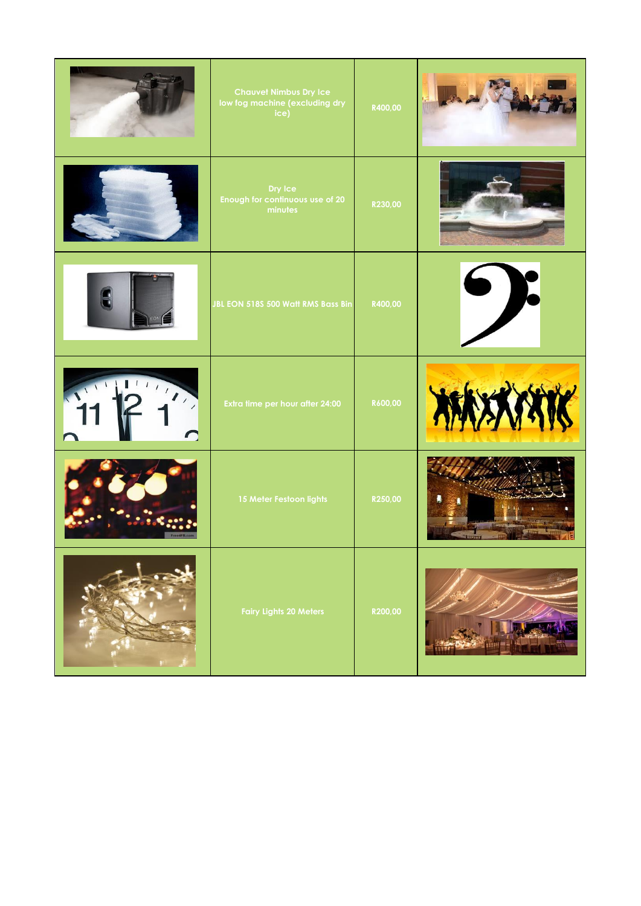|                     | <b>Chauvet Nimbus Dry Ice</b><br>low fog machine (excluding dry<br>ice) | R400,00 |             |
|---------------------|-------------------------------------------------------------------------|---------|-------------|
|                     | Dry Ice<br>Enough for continuous use of 20<br>minutes                   | R230,00 |             |
|                     | JBL EON 518S 500 Watt RMS Bass Bin                                      | R400,00 |             |
| $\overline{\cdots}$ | Extra time per hour after 24:00                                         | R600,00 | <b>BARK</b> |
|                     | 15 Meter Festoon lights                                                 | R250,00 |             |
|                     | <b>Fairy Lights 20 Meters</b>                                           | R200,00 |             |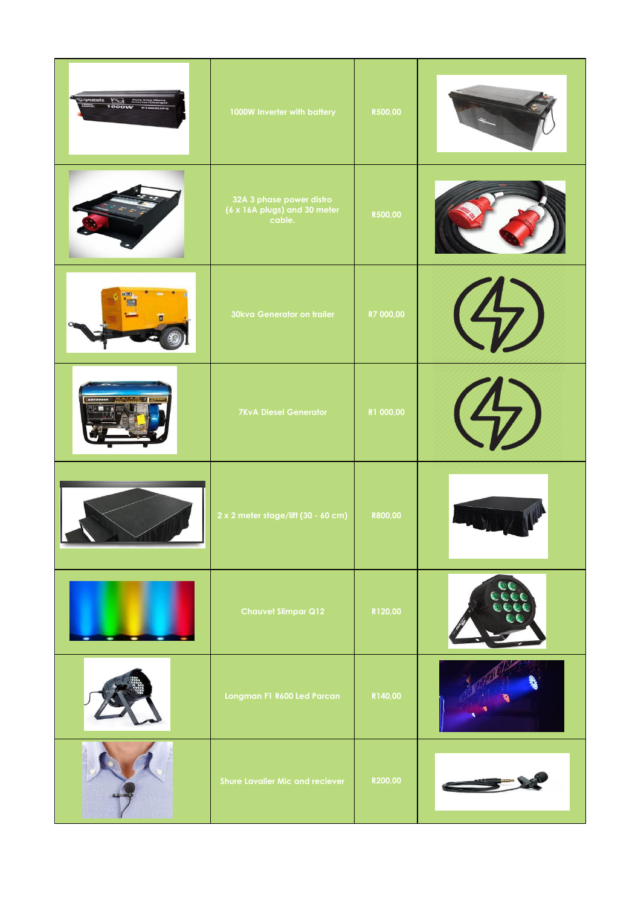| $\frac{12222}{100000}$<br>$\mathbb{R}$ | 1000W Inverter with battery                                        | R500,00   |  |
|----------------------------------------|--------------------------------------------------------------------|-----------|--|
|                                        | 32A 3 phase power distro<br>(6 x 16A plugs) and 30 meter<br>cable. | R500,00   |  |
|                                        | 30kva Generator on trailer                                         | R7 000,00 |  |
|                                        | <b>7KvA Diesel Generator</b>                                       | R1 000,00 |  |
|                                        | $2 \times 2$ meter stage/lift (30 - 60 cm)                         | R800,00   |  |
|                                        | <b>Chauvet Slimpar Q12</b>                                         | R120,00   |  |
|                                        | Longman F1 R600 Led Parcan                                         | R140,00   |  |
|                                        | <b>Shure Lavalier Mic and reciever</b>                             | R200,00   |  |